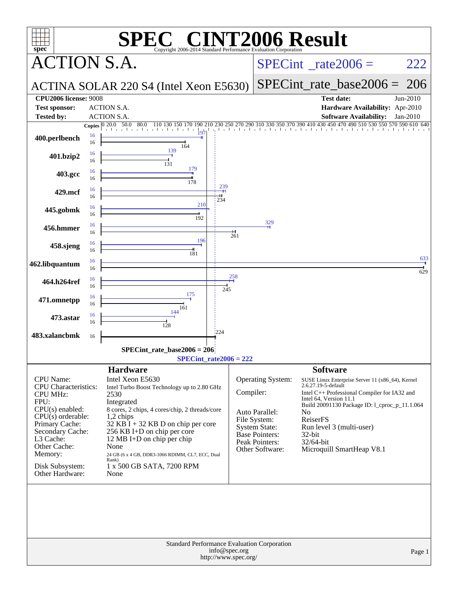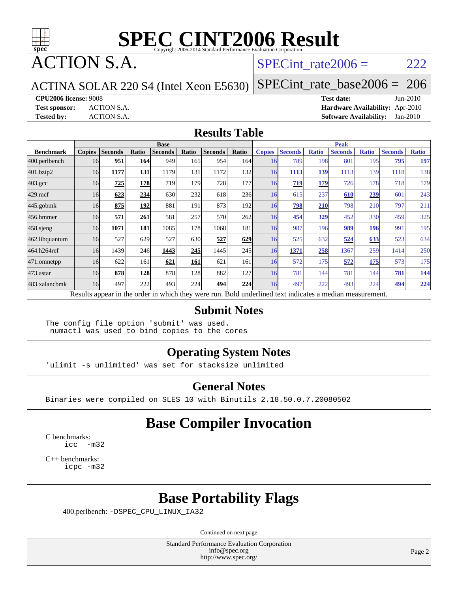

ACTION S.A.

#### SPECint rate $2006 = 222$

ACTINA SOLAR 220 S4 (Intel Xeon E5630)

[SPECint\\_rate\\_base2006 =](http://www.spec.org/auto/cpu2006/Docs/result-fields.html#SPECintratebase2006) 206

**[CPU2006 license:](http://www.spec.org/auto/cpu2006/Docs/result-fields.html#CPU2006license)** 9008 **[Test date:](http://www.spec.org/auto/cpu2006/Docs/result-fields.html#Testdate)** Jun-2010

**[Test sponsor:](http://www.spec.org/auto/cpu2006/Docs/result-fields.html#Testsponsor)** ACTION S.A. **[Hardware Availability:](http://www.spec.org/auto/cpu2006/Docs/result-fields.html#HardwareAvailability)** Apr-2010 **[Tested by:](http://www.spec.org/auto/cpu2006/Docs/result-fields.html#Testedby)** ACTION S.A. **[Software Availability:](http://www.spec.org/auto/cpu2006/Docs/result-fields.html#SoftwareAvailability)** Jan-2010

#### **[Results Table](http://www.spec.org/auto/cpu2006/Docs/result-fields.html#ResultsTable)**

|                    | <b>Base</b>   |                |            |                                                                                                          |                  |                |            | <b>Peak</b>   |                |              |                |              |                |              |
|--------------------|---------------|----------------|------------|----------------------------------------------------------------------------------------------------------|------------------|----------------|------------|---------------|----------------|--------------|----------------|--------------|----------------|--------------|
| <b>Benchmark</b>   | <b>Copies</b> | <b>Seconds</b> | Ratio      | <b>Seconds</b>                                                                                           | Ratio            | <b>Seconds</b> | Ratio      | <b>Copies</b> | <b>Seconds</b> | <b>Ratio</b> | <b>Seconds</b> | <b>Ratio</b> | <b>Seconds</b> | <b>Ratio</b> |
| 400.perlbench      | 16            | 951            | 164        | 949                                                                                                      | 165I             | 954            | 164        | 16            | 789            | 198          | 801            | 195          | 795            | <u>197</u>   |
| 401.bzip2          | 16            | 1177           | 131        | 1179                                                                                                     | 131              | 1172           | 132        | 16            | 1113           | 139          | 1113           | 139          | 1118           | 138          |
| $403.\mathrm{gcc}$ | 16            | 725            | <b>178</b> | 719                                                                                                      | 179 <sub>l</sub> | 728            | 177        | 16            | 719            | 179          | 726            | 178          | 718            | 179          |
| $429$ .mcf         | 16            | 623            | 234        | 630                                                                                                      | 232              | 618            | <b>236</b> | 16            | 615            | 237          | 610            | <u>239</u>   | 601            | 243          |
| 445.gobmk          | 16            | 875            | 192        | 881                                                                                                      | 191              | 873            | 192l       | 16            | <u>798</u>     | 210          | 798            | 210          | 797            | 211          |
| 456.hmmer          | 16            | 571            | 261        | 581                                                                                                      | 257              | 570            | 262        | 16            | 454            | 329          | 452            | 330          | 459            | 325          |
| $458$ sjeng        | 16            | 1071           | 181        | 1085                                                                                                     | 178              | 1068           | 181        | 16            | 987            | 196          | 989            | <u> 196</u>  | 991            | 195          |
| 462.libquantum     | 16            | 527            | 629        | 527                                                                                                      | 630              | 527            | 629        | 16            | 525            | 632          | 524            | 633          | 523            | 634          |
| 464.h264ref        | 16            | 1439           | 246        | 1443                                                                                                     | 245              | 1445           | 245        | 16            | 1371           | 258          | 1367           | 259          | 1414           | 250          |
| $471$ .omnetpp     | 16            | 622            | 161        | 621                                                                                                      | 161              | 621            | 161        | 16            | 572            | 175          | 572            | 175          | 573            | 175          |
| 473.astar          | 16            | 878            | 128        | 878                                                                                                      | 128              | 882            | 127        | 16            | 781            | 144          | 781            | 144          | 781            | <u>144</u>   |
| 483.xalancbmk      | 16            | 497            | 222        | 493                                                                                                      | 224              | 494            | 224        | 16            | 497            | 222          | 493            | 224          | 494            | 224          |
|                    |               |                |            | Results appear in the order in which they were run. Bold underlined text indicates a median measurement. |                  |                |            |               |                |              |                |              |                |              |

#### **[Submit Notes](http://www.spec.org/auto/cpu2006/Docs/result-fields.html#SubmitNotes)**

The config file option 'submit' was used. numactl was used to bind copies to the cores

#### **[Operating System Notes](http://www.spec.org/auto/cpu2006/Docs/result-fields.html#OperatingSystemNotes)**

'ulimit -s unlimited' was set for stacksize unlimited

#### **[General Notes](http://www.spec.org/auto/cpu2006/Docs/result-fields.html#GeneralNotes)**

Binaries were compiled on SLES 10 with Binutils 2.18.50.0.7.20080502

#### **[Base Compiler Invocation](http://www.spec.org/auto/cpu2006/Docs/result-fields.html#BaseCompilerInvocation)**

[C benchmarks](http://www.spec.org/auto/cpu2006/Docs/result-fields.html#Cbenchmarks): [icc -m32](http://www.spec.org/cpu2006/results/res2010q3/cpu2006-20100619-11758.flags.html#user_CCbase_intel_icc_32bit_5ff4a39e364c98233615fdd38438c6f2)

[C++ benchmarks:](http://www.spec.org/auto/cpu2006/Docs/result-fields.html#CXXbenchmarks) [icpc -m32](http://www.spec.org/cpu2006/results/res2010q3/cpu2006-20100619-11758.flags.html#user_CXXbase_intel_icpc_32bit_4e5a5ef1a53fd332b3c49e69c3330699)

#### **[Base Portability Flags](http://www.spec.org/auto/cpu2006/Docs/result-fields.html#BasePortabilityFlags)**

400.perlbench: [-DSPEC\\_CPU\\_LINUX\\_IA32](http://www.spec.org/cpu2006/results/res2010q3/cpu2006-20100619-11758.flags.html#b400.perlbench_baseCPORTABILITY_DSPEC_CPU_LINUX_IA32)

Continued on next page

Standard Performance Evaluation Corporation [info@spec.org](mailto:info@spec.org) <http://www.spec.org/>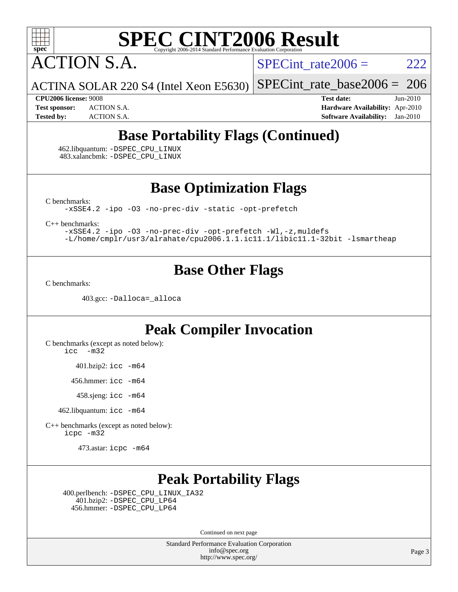

ACTION S.A.

SPECint rate  $2006 = 222$ 

ACTINA SOLAR 220 S4 (Intel Xeon E5630) [SPECint\\_rate\\_base2006 =](http://www.spec.org/auto/cpu2006/Docs/result-fields.html#SPECintratebase2006) 206

**[CPU2006 license:](http://www.spec.org/auto/cpu2006/Docs/result-fields.html#CPU2006license)** 9008 **[Test date:](http://www.spec.org/auto/cpu2006/Docs/result-fields.html#Testdate)** Jun-2010 **[Test sponsor:](http://www.spec.org/auto/cpu2006/Docs/result-fields.html#Testsponsor)** ACTION S.A. **[Hardware Availability:](http://www.spec.org/auto/cpu2006/Docs/result-fields.html#HardwareAvailability)** Apr-2010 **[Tested by:](http://www.spec.org/auto/cpu2006/Docs/result-fields.html#Testedby)** ACTION S.A. **[Software Availability:](http://www.spec.org/auto/cpu2006/Docs/result-fields.html#SoftwareAvailability)** Jan-2010

## **[Base Portability Flags \(Continued\)](http://www.spec.org/auto/cpu2006/Docs/result-fields.html#BasePortabilityFlags)**

 462.libquantum: [-DSPEC\\_CPU\\_LINUX](http://www.spec.org/cpu2006/results/res2010q3/cpu2006-20100619-11758.flags.html#b462.libquantum_baseCPORTABILITY_DSPEC_CPU_LINUX) 483.xalancbmk: [-DSPEC\\_CPU\\_LINUX](http://www.spec.org/cpu2006/results/res2010q3/cpu2006-20100619-11758.flags.html#b483.xalancbmk_baseCXXPORTABILITY_DSPEC_CPU_LINUX)

**[Base Optimization Flags](http://www.spec.org/auto/cpu2006/Docs/result-fields.html#BaseOptimizationFlags)**

[C benchmarks](http://www.spec.org/auto/cpu2006/Docs/result-fields.html#Cbenchmarks):

[-xSSE4.2](http://www.spec.org/cpu2006/results/res2010q3/cpu2006-20100619-11758.flags.html#user_CCbase_f-xSSE42_f91528193cf0b216347adb8b939d4107) [-ipo](http://www.spec.org/cpu2006/results/res2010q3/cpu2006-20100619-11758.flags.html#user_CCbase_f-ipo) [-O3](http://www.spec.org/cpu2006/results/res2010q3/cpu2006-20100619-11758.flags.html#user_CCbase_f-O3) [-no-prec-div](http://www.spec.org/cpu2006/results/res2010q3/cpu2006-20100619-11758.flags.html#user_CCbase_f-no-prec-div) [-static](http://www.spec.org/cpu2006/results/res2010q3/cpu2006-20100619-11758.flags.html#user_CCbase_f-static) [-opt-prefetch](http://www.spec.org/cpu2006/results/res2010q3/cpu2006-20100619-11758.flags.html#user_CCbase_f-opt-prefetch)

[C++ benchmarks:](http://www.spec.org/auto/cpu2006/Docs/result-fields.html#CXXbenchmarks)

[-xSSE4.2](http://www.spec.org/cpu2006/results/res2010q3/cpu2006-20100619-11758.flags.html#user_CXXbase_f-xSSE42_f91528193cf0b216347adb8b939d4107) [-ipo](http://www.spec.org/cpu2006/results/res2010q3/cpu2006-20100619-11758.flags.html#user_CXXbase_f-ipo) [-O3](http://www.spec.org/cpu2006/results/res2010q3/cpu2006-20100619-11758.flags.html#user_CXXbase_f-O3) [-no-prec-div](http://www.spec.org/cpu2006/results/res2010q3/cpu2006-20100619-11758.flags.html#user_CXXbase_f-no-prec-div) [-opt-prefetch](http://www.spec.org/cpu2006/results/res2010q3/cpu2006-20100619-11758.flags.html#user_CXXbase_f-opt-prefetch) [-Wl,-z,muldefs](http://www.spec.org/cpu2006/results/res2010q3/cpu2006-20100619-11758.flags.html#user_CXXbase_link_force_multiple1_74079c344b956b9658436fd1b6dd3a8a) [-L/home/cmplr/usr3/alrahate/cpu2006.1.1.ic11.1/libic11.1-32bit -lsmartheap](http://www.spec.org/cpu2006/results/res2010q3/cpu2006-20100619-11758.flags.html#user_CXXbase_SmartHeap_d86dffe4a79b79ef8890d5cce17030c3)

### **[Base Other Flags](http://www.spec.org/auto/cpu2006/Docs/result-fields.html#BaseOtherFlags)**

[C benchmarks](http://www.spec.org/auto/cpu2006/Docs/result-fields.html#Cbenchmarks):

403.gcc: [-Dalloca=\\_alloca](http://www.spec.org/cpu2006/results/res2010q3/cpu2006-20100619-11758.flags.html#b403.gcc_baseEXTRA_CFLAGS_Dalloca_be3056838c12de2578596ca5467af7f3)

### **[Peak Compiler Invocation](http://www.spec.org/auto/cpu2006/Docs/result-fields.html#PeakCompilerInvocation)**

[C benchmarks \(except as noted below\)](http://www.spec.org/auto/cpu2006/Docs/result-fields.html#Cbenchmarksexceptasnotedbelow): [icc -m32](http://www.spec.org/cpu2006/results/res2010q3/cpu2006-20100619-11758.flags.html#user_CCpeak_intel_icc_32bit_5ff4a39e364c98233615fdd38438c6f2)

401.bzip2: [icc -m64](http://www.spec.org/cpu2006/results/res2010q3/cpu2006-20100619-11758.flags.html#user_peakCCLD401_bzip2_intel_icc_64bit_bda6cc9af1fdbb0edc3795bac97ada53)

456.hmmer: [icc -m64](http://www.spec.org/cpu2006/results/res2010q3/cpu2006-20100619-11758.flags.html#user_peakCCLD456_hmmer_intel_icc_64bit_bda6cc9af1fdbb0edc3795bac97ada53)

458.sjeng: [icc -m64](http://www.spec.org/cpu2006/results/res2010q3/cpu2006-20100619-11758.flags.html#user_peakCCLD458_sjeng_intel_icc_64bit_bda6cc9af1fdbb0edc3795bac97ada53)

462.libquantum: [icc -m64](http://www.spec.org/cpu2006/results/res2010q3/cpu2006-20100619-11758.flags.html#user_peakCCLD462_libquantum_intel_icc_64bit_bda6cc9af1fdbb0edc3795bac97ada53)

[C++ benchmarks \(except as noted below\):](http://www.spec.org/auto/cpu2006/Docs/result-fields.html#CXXbenchmarksexceptasnotedbelow) [icpc -m32](http://www.spec.org/cpu2006/results/res2010q3/cpu2006-20100619-11758.flags.html#user_CXXpeak_intel_icpc_32bit_4e5a5ef1a53fd332b3c49e69c3330699)

473.astar: [icpc -m64](http://www.spec.org/cpu2006/results/res2010q3/cpu2006-20100619-11758.flags.html#user_peakCXXLD473_astar_intel_icpc_64bit_fc66a5337ce925472a5c54ad6a0de310)

### **[Peak Portability Flags](http://www.spec.org/auto/cpu2006/Docs/result-fields.html#PeakPortabilityFlags)**

 400.perlbench: [-DSPEC\\_CPU\\_LINUX\\_IA32](http://www.spec.org/cpu2006/results/res2010q3/cpu2006-20100619-11758.flags.html#b400.perlbench_peakCPORTABILITY_DSPEC_CPU_LINUX_IA32) 401.bzip2: [-DSPEC\\_CPU\\_LP64](http://www.spec.org/cpu2006/results/res2010q3/cpu2006-20100619-11758.flags.html#suite_peakCPORTABILITY401_bzip2_DSPEC_CPU_LP64) 456.hmmer: [-DSPEC\\_CPU\\_LP64](http://www.spec.org/cpu2006/results/res2010q3/cpu2006-20100619-11758.flags.html#suite_peakCPORTABILITY456_hmmer_DSPEC_CPU_LP64)

Continued on next page

Standard Performance Evaluation Corporation [info@spec.org](mailto:info@spec.org) <http://www.spec.org/>

Page 3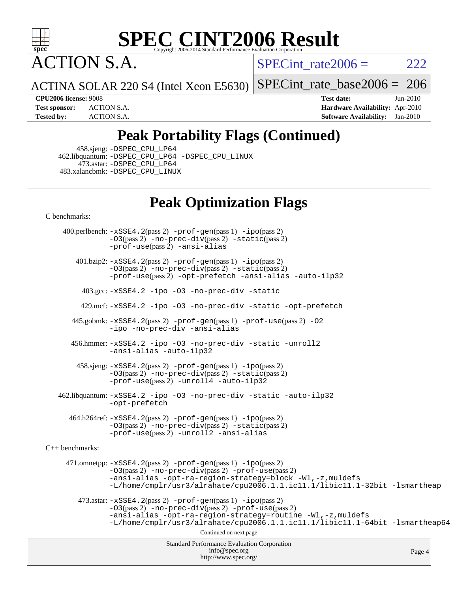

ACTION S.A.

SPECint rate $2006 = 222$ 

ACTINA SOLAR 220 S4 (Intel Xeon E5630) [SPECint\\_rate\\_base2006 =](http://www.spec.org/auto/cpu2006/Docs/result-fields.html#SPECintratebase2006) 206

**[CPU2006 license:](http://www.spec.org/auto/cpu2006/Docs/result-fields.html#CPU2006license)** 9008 **[Test date:](http://www.spec.org/auto/cpu2006/Docs/result-fields.html#Testdate)** Jun-2010 **[Test sponsor:](http://www.spec.org/auto/cpu2006/Docs/result-fields.html#Testsponsor)** ACTION S.A. **[Hardware Availability:](http://www.spec.org/auto/cpu2006/Docs/result-fields.html#HardwareAvailability)** Apr-2010 **[Tested by:](http://www.spec.org/auto/cpu2006/Docs/result-fields.html#Testedby)** ACTION S.A. **[Software Availability:](http://www.spec.org/auto/cpu2006/Docs/result-fields.html#SoftwareAvailability)** Jan-2010

## **[Peak Portability Flags \(Continued\)](http://www.spec.org/auto/cpu2006/Docs/result-fields.html#PeakPortabilityFlags)**

458.sjeng: [-DSPEC\\_CPU\\_LP64](http://www.spec.org/cpu2006/results/res2010q3/cpu2006-20100619-11758.flags.html#suite_peakCPORTABILITY458_sjeng_DSPEC_CPU_LP64)

 462.libquantum: [-DSPEC\\_CPU\\_LP64](http://www.spec.org/cpu2006/results/res2010q3/cpu2006-20100619-11758.flags.html#suite_peakCPORTABILITY462_libquantum_DSPEC_CPU_LP64) [-DSPEC\\_CPU\\_LINUX](http://www.spec.org/cpu2006/results/res2010q3/cpu2006-20100619-11758.flags.html#b462.libquantum_peakCPORTABILITY_DSPEC_CPU_LINUX) 473.astar: [-DSPEC\\_CPU\\_LP64](http://www.spec.org/cpu2006/results/res2010q3/cpu2006-20100619-11758.flags.html#suite_peakCXXPORTABILITY473_astar_DSPEC_CPU_LP64) 483.xalancbmk: [-DSPEC\\_CPU\\_LINUX](http://www.spec.org/cpu2006/results/res2010q3/cpu2006-20100619-11758.flags.html#b483.xalancbmk_peakCXXPORTABILITY_DSPEC_CPU_LINUX)

#### **[Peak Optimization Flags](http://www.spec.org/auto/cpu2006/Docs/result-fields.html#PeakOptimizationFlags)**

[C benchmarks](http://www.spec.org/auto/cpu2006/Docs/result-fields.html#Cbenchmarks):

Standard Performance Evaluation Corporation [info@spec.org](mailto:info@spec.org) <http://www.spec.org/> Page 4 400.perlbench: [-xSSE4.2](http://www.spec.org/cpu2006/results/res2010q3/cpu2006-20100619-11758.flags.html#user_peakPASS2_CFLAGSPASS2_LDCFLAGS400_perlbench_f-xSSE42_f91528193cf0b216347adb8b939d4107)(pass 2) [-prof-gen](http://www.spec.org/cpu2006/results/res2010q3/cpu2006-20100619-11758.flags.html#user_peakPASS1_CFLAGSPASS1_LDCFLAGS400_perlbench_prof_gen_e43856698f6ca7b7e442dfd80e94a8fc)(pass 1) [-ipo](http://www.spec.org/cpu2006/results/res2010q3/cpu2006-20100619-11758.flags.html#user_peakPASS2_CFLAGSPASS2_LDCFLAGS400_perlbench_f-ipo)(pass 2) [-O3](http://www.spec.org/cpu2006/results/res2010q3/cpu2006-20100619-11758.flags.html#user_peakPASS2_CFLAGSPASS2_LDCFLAGS400_perlbench_f-O3)(pass 2) [-no-prec-div](http://www.spec.org/cpu2006/results/res2010q3/cpu2006-20100619-11758.flags.html#user_peakPASS2_CFLAGSPASS2_LDCFLAGS400_perlbench_f-no-prec-div)(pass 2) [-static](http://www.spec.org/cpu2006/results/res2010q3/cpu2006-20100619-11758.flags.html#user_peakPASS2_CFLAGSPASS2_LDCFLAGS400_perlbench_f-static)(pass 2) [-prof-use](http://www.spec.org/cpu2006/results/res2010q3/cpu2006-20100619-11758.flags.html#user_peakPASS2_CFLAGSPASS2_LDCFLAGS400_perlbench_prof_use_bccf7792157ff70d64e32fe3e1250b55)(pass 2) [-ansi-alias](http://www.spec.org/cpu2006/results/res2010q3/cpu2006-20100619-11758.flags.html#user_peakCOPTIMIZE400_perlbench_f-ansi-alias) 401.bzip2: [-xSSE4.2](http://www.spec.org/cpu2006/results/res2010q3/cpu2006-20100619-11758.flags.html#user_peakPASS2_CFLAGSPASS2_LDCFLAGS401_bzip2_f-xSSE42_f91528193cf0b216347adb8b939d4107)(pass 2) [-prof-gen](http://www.spec.org/cpu2006/results/res2010q3/cpu2006-20100619-11758.flags.html#user_peakPASS1_CFLAGSPASS1_LDCFLAGS401_bzip2_prof_gen_e43856698f6ca7b7e442dfd80e94a8fc)(pass 1) [-ipo](http://www.spec.org/cpu2006/results/res2010q3/cpu2006-20100619-11758.flags.html#user_peakPASS2_CFLAGSPASS2_LDCFLAGS401_bzip2_f-ipo)(pass 2) [-O3](http://www.spec.org/cpu2006/results/res2010q3/cpu2006-20100619-11758.flags.html#user_peakPASS2_CFLAGSPASS2_LDCFLAGS401_bzip2_f-O3)(pass 2) [-no-prec-div](http://www.spec.org/cpu2006/results/res2010q3/cpu2006-20100619-11758.flags.html#user_peakPASS2_CFLAGSPASS2_LDCFLAGS401_bzip2_f-no-prec-div)(pass 2) [-static](http://www.spec.org/cpu2006/results/res2010q3/cpu2006-20100619-11758.flags.html#user_peakPASS2_CFLAGSPASS2_LDCFLAGS401_bzip2_f-static)(pass 2) [-prof-use](http://www.spec.org/cpu2006/results/res2010q3/cpu2006-20100619-11758.flags.html#user_peakPASS2_CFLAGSPASS2_LDCFLAGS401_bzip2_prof_use_bccf7792157ff70d64e32fe3e1250b55)(pass 2) [-opt-prefetch](http://www.spec.org/cpu2006/results/res2010q3/cpu2006-20100619-11758.flags.html#user_peakCOPTIMIZE401_bzip2_f-opt-prefetch) [-ansi-alias](http://www.spec.org/cpu2006/results/res2010q3/cpu2006-20100619-11758.flags.html#user_peakCOPTIMIZE401_bzip2_f-ansi-alias) [-auto-ilp32](http://www.spec.org/cpu2006/results/res2010q3/cpu2006-20100619-11758.flags.html#user_peakCOPTIMIZE401_bzip2_f-auto-ilp32) 403.gcc: [-xSSE4.2](http://www.spec.org/cpu2006/results/res2010q3/cpu2006-20100619-11758.flags.html#user_peakCOPTIMIZE403_gcc_f-xSSE42_f91528193cf0b216347adb8b939d4107) [-ipo](http://www.spec.org/cpu2006/results/res2010q3/cpu2006-20100619-11758.flags.html#user_peakCOPTIMIZE403_gcc_f-ipo) [-O3](http://www.spec.org/cpu2006/results/res2010q3/cpu2006-20100619-11758.flags.html#user_peakCOPTIMIZE403_gcc_f-O3) [-no-prec-div](http://www.spec.org/cpu2006/results/res2010q3/cpu2006-20100619-11758.flags.html#user_peakCOPTIMIZE403_gcc_f-no-prec-div) [-static](http://www.spec.org/cpu2006/results/res2010q3/cpu2006-20100619-11758.flags.html#user_peakCOPTIMIZE403_gcc_f-static) 429.mcf: [-xSSE4.2](http://www.spec.org/cpu2006/results/res2010q3/cpu2006-20100619-11758.flags.html#user_peakCOPTIMIZE429_mcf_f-xSSE42_f91528193cf0b216347adb8b939d4107) [-ipo](http://www.spec.org/cpu2006/results/res2010q3/cpu2006-20100619-11758.flags.html#user_peakCOPTIMIZE429_mcf_f-ipo) [-O3](http://www.spec.org/cpu2006/results/res2010q3/cpu2006-20100619-11758.flags.html#user_peakCOPTIMIZE429_mcf_f-O3) [-no-prec-div](http://www.spec.org/cpu2006/results/res2010q3/cpu2006-20100619-11758.flags.html#user_peakCOPTIMIZE429_mcf_f-no-prec-div) [-static](http://www.spec.org/cpu2006/results/res2010q3/cpu2006-20100619-11758.flags.html#user_peakCOPTIMIZE429_mcf_f-static) [-opt-prefetch](http://www.spec.org/cpu2006/results/res2010q3/cpu2006-20100619-11758.flags.html#user_peakCOPTIMIZE429_mcf_f-opt-prefetch) 445.gobmk: [-xSSE4.2](http://www.spec.org/cpu2006/results/res2010q3/cpu2006-20100619-11758.flags.html#user_peakPASS2_CFLAGSPASS2_LDCFLAGS445_gobmk_f-xSSE42_f91528193cf0b216347adb8b939d4107)(pass 2) [-prof-gen](http://www.spec.org/cpu2006/results/res2010q3/cpu2006-20100619-11758.flags.html#user_peakPASS1_CFLAGSPASS1_LDCFLAGS445_gobmk_prof_gen_e43856698f6ca7b7e442dfd80e94a8fc)(pass 1) [-prof-use](http://www.spec.org/cpu2006/results/res2010q3/cpu2006-20100619-11758.flags.html#user_peakPASS2_CFLAGSPASS2_LDCFLAGS445_gobmk_prof_use_bccf7792157ff70d64e32fe3e1250b55)(pass 2) [-O2](http://www.spec.org/cpu2006/results/res2010q3/cpu2006-20100619-11758.flags.html#user_peakCOPTIMIZE445_gobmk_f-O2) [-ipo](http://www.spec.org/cpu2006/results/res2010q3/cpu2006-20100619-11758.flags.html#user_peakCOPTIMIZE445_gobmk_f-ipo) [-no-prec-div](http://www.spec.org/cpu2006/results/res2010q3/cpu2006-20100619-11758.flags.html#user_peakCOPTIMIZE445_gobmk_f-no-prec-div) [-ansi-alias](http://www.spec.org/cpu2006/results/res2010q3/cpu2006-20100619-11758.flags.html#user_peakCOPTIMIZE445_gobmk_f-ansi-alias) 456.hmmer: [-xSSE4.2](http://www.spec.org/cpu2006/results/res2010q3/cpu2006-20100619-11758.flags.html#user_peakCOPTIMIZE456_hmmer_f-xSSE42_f91528193cf0b216347adb8b939d4107) [-ipo](http://www.spec.org/cpu2006/results/res2010q3/cpu2006-20100619-11758.flags.html#user_peakCOPTIMIZE456_hmmer_f-ipo) [-O3](http://www.spec.org/cpu2006/results/res2010q3/cpu2006-20100619-11758.flags.html#user_peakCOPTIMIZE456_hmmer_f-O3) [-no-prec-div](http://www.spec.org/cpu2006/results/res2010q3/cpu2006-20100619-11758.flags.html#user_peakCOPTIMIZE456_hmmer_f-no-prec-div) [-static](http://www.spec.org/cpu2006/results/res2010q3/cpu2006-20100619-11758.flags.html#user_peakCOPTIMIZE456_hmmer_f-static) [-unroll2](http://www.spec.org/cpu2006/results/res2010q3/cpu2006-20100619-11758.flags.html#user_peakCOPTIMIZE456_hmmer_f-unroll_784dae83bebfb236979b41d2422d7ec2) [-ansi-alias](http://www.spec.org/cpu2006/results/res2010q3/cpu2006-20100619-11758.flags.html#user_peakCOPTIMIZE456_hmmer_f-ansi-alias) [-auto-ilp32](http://www.spec.org/cpu2006/results/res2010q3/cpu2006-20100619-11758.flags.html#user_peakCOPTIMIZE456_hmmer_f-auto-ilp32) 458.sjeng: [-xSSE4.2](http://www.spec.org/cpu2006/results/res2010q3/cpu2006-20100619-11758.flags.html#user_peakPASS2_CFLAGSPASS2_LDCFLAGS458_sjeng_f-xSSE42_f91528193cf0b216347adb8b939d4107)(pass 2) [-prof-gen](http://www.spec.org/cpu2006/results/res2010q3/cpu2006-20100619-11758.flags.html#user_peakPASS1_CFLAGSPASS1_LDCFLAGS458_sjeng_prof_gen_e43856698f6ca7b7e442dfd80e94a8fc)(pass 1) [-ipo](http://www.spec.org/cpu2006/results/res2010q3/cpu2006-20100619-11758.flags.html#user_peakPASS2_CFLAGSPASS2_LDCFLAGS458_sjeng_f-ipo)(pass 2) [-O3](http://www.spec.org/cpu2006/results/res2010q3/cpu2006-20100619-11758.flags.html#user_peakPASS2_CFLAGSPASS2_LDCFLAGS458_sjeng_f-O3)(pass 2) [-no-prec-div](http://www.spec.org/cpu2006/results/res2010q3/cpu2006-20100619-11758.flags.html#user_peakPASS2_CFLAGSPASS2_LDCFLAGS458_sjeng_f-no-prec-div)(pass 2) [-static](http://www.spec.org/cpu2006/results/res2010q3/cpu2006-20100619-11758.flags.html#user_peakPASS2_CFLAGSPASS2_LDCFLAGS458_sjeng_f-static)(pass 2) [-prof-use](http://www.spec.org/cpu2006/results/res2010q3/cpu2006-20100619-11758.flags.html#user_peakPASS2_CFLAGSPASS2_LDCFLAGS458_sjeng_prof_use_bccf7792157ff70d64e32fe3e1250b55)(pass 2) [-unroll4](http://www.spec.org/cpu2006/results/res2010q3/cpu2006-20100619-11758.flags.html#user_peakCOPTIMIZE458_sjeng_f-unroll_4e5e4ed65b7fd20bdcd365bec371b81f) [-auto-ilp32](http://www.spec.org/cpu2006/results/res2010q3/cpu2006-20100619-11758.flags.html#user_peakCOPTIMIZE458_sjeng_f-auto-ilp32) 462.libquantum: [-xSSE4.2](http://www.spec.org/cpu2006/results/res2010q3/cpu2006-20100619-11758.flags.html#user_peakCOPTIMIZE462_libquantum_f-xSSE42_f91528193cf0b216347adb8b939d4107) [-ipo](http://www.spec.org/cpu2006/results/res2010q3/cpu2006-20100619-11758.flags.html#user_peakCOPTIMIZE462_libquantum_f-ipo) [-O3](http://www.spec.org/cpu2006/results/res2010q3/cpu2006-20100619-11758.flags.html#user_peakCOPTIMIZE462_libquantum_f-O3) [-no-prec-div](http://www.spec.org/cpu2006/results/res2010q3/cpu2006-20100619-11758.flags.html#user_peakCOPTIMIZE462_libquantum_f-no-prec-div) [-static](http://www.spec.org/cpu2006/results/res2010q3/cpu2006-20100619-11758.flags.html#user_peakCOPTIMIZE462_libquantum_f-static) [-auto-ilp32](http://www.spec.org/cpu2006/results/res2010q3/cpu2006-20100619-11758.flags.html#user_peakCOPTIMIZE462_libquantum_f-auto-ilp32) [-opt-prefetch](http://www.spec.org/cpu2006/results/res2010q3/cpu2006-20100619-11758.flags.html#user_peakCOPTIMIZE462_libquantum_f-opt-prefetch) 464.h264ref: [-xSSE4.2](http://www.spec.org/cpu2006/results/res2010q3/cpu2006-20100619-11758.flags.html#user_peakPASS2_CFLAGSPASS2_LDCFLAGS464_h264ref_f-xSSE42_f91528193cf0b216347adb8b939d4107)(pass 2) [-prof-gen](http://www.spec.org/cpu2006/results/res2010q3/cpu2006-20100619-11758.flags.html#user_peakPASS1_CFLAGSPASS1_LDCFLAGS464_h264ref_prof_gen_e43856698f6ca7b7e442dfd80e94a8fc)(pass 1) [-ipo](http://www.spec.org/cpu2006/results/res2010q3/cpu2006-20100619-11758.flags.html#user_peakPASS2_CFLAGSPASS2_LDCFLAGS464_h264ref_f-ipo)(pass 2) [-O3](http://www.spec.org/cpu2006/results/res2010q3/cpu2006-20100619-11758.flags.html#user_peakPASS2_CFLAGSPASS2_LDCFLAGS464_h264ref_f-O3)(pass 2) [-no-prec-div](http://www.spec.org/cpu2006/results/res2010q3/cpu2006-20100619-11758.flags.html#user_peakPASS2_CFLAGSPASS2_LDCFLAGS464_h264ref_f-no-prec-div)(pass 2) [-static](http://www.spec.org/cpu2006/results/res2010q3/cpu2006-20100619-11758.flags.html#user_peakPASS2_CFLAGSPASS2_LDCFLAGS464_h264ref_f-static)(pass 2) [-prof-use](http://www.spec.org/cpu2006/results/res2010q3/cpu2006-20100619-11758.flags.html#user_peakPASS2_CFLAGSPASS2_LDCFLAGS464_h264ref_prof_use_bccf7792157ff70d64e32fe3e1250b55)(pass 2) [-unroll2](http://www.spec.org/cpu2006/results/res2010q3/cpu2006-20100619-11758.flags.html#user_peakCOPTIMIZE464_h264ref_f-unroll_784dae83bebfb236979b41d2422d7ec2) [-ansi-alias](http://www.spec.org/cpu2006/results/res2010q3/cpu2006-20100619-11758.flags.html#user_peakCOPTIMIZE464_h264ref_f-ansi-alias) [C++ benchmarks:](http://www.spec.org/auto/cpu2006/Docs/result-fields.html#CXXbenchmarks) 471.omnetpp: [-xSSE4.2](http://www.spec.org/cpu2006/results/res2010q3/cpu2006-20100619-11758.flags.html#user_peakPASS2_CXXFLAGSPASS2_LDCXXFLAGS471_omnetpp_f-xSSE42_f91528193cf0b216347adb8b939d4107)(pass 2) [-prof-gen](http://www.spec.org/cpu2006/results/res2010q3/cpu2006-20100619-11758.flags.html#user_peakPASS1_CXXFLAGSPASS1_LDCXXFLAGS471_omnetpp_prof_gen_e43856698f6ca7b7e442dfd80e94a8fc)(pass 1) [-ipo](http://www.spec.org/cpu2006/results/res2010q3/cpu2006-20100619-11758.flags.html#user_peakPASS2_CXXFLAGSPASS2_LDCXXFLAGS471_omnetpp_f-ipo)(pass 2) [-O3](http://www.spec.org/cpu2006/results/res2010q3/cpu2006-20100619-11758.flags.html#user_peakPASS2_CXXFLAGSPASS2_LDCXXFLAGS471_omnetpp_f-O3)(pass 2) [-no-prec-div](http://www.spec.org/cpu2006/results/res2010q3/cpu2006-20100619-11758.flags.html#user_peakPASS2_CXXFLAGSPASS2_LDCXXFLAGS471_omnetpp_f-no-prec-div)(pass 2) [-prof-use](http://www.spec.org/cpu2006/results/res2010q3/cpu2006-20100619-11758.flags.html#user_peakPASS2_CXXFLAGSPASS2_LDCXXFLAGS471_omnetpp_prof_use_bccf7792157ff70d64e32fe3e1250b55)(pass 2) [-ansi-alias](http://www.spec.org/cpu2006/results/res2010q3/cpu2006-20100619-11758.flags.html#user_peakCXXOPTIMIZE471_omnetpp_f-ansi-alias) [-opt-ra-region-strategy=block](http://www.spec.org/cpu2006/results/res2010q3/cpu2006-20100619-11758.flags.html#user_peakCXXOPTIMIZE471_omnetpp_f-opt-ra-region-strategy-block_a0a37c372d03933b2a18d4af463c1f69) [-Wl,-z,muldefs](http://www.spec.org/cpu2006/results/res2010q3/cpu2006-20100619-11758.flags.html#user_peakEXTRA_LDFLAGS471_omnetpp_link_force_multiple1_74079c344b956b9658436fd1b6dd3a8a) [-L/home/cmplr/usr3/alrahate/cpu2006.1.1.ic11.1/libic11.1-32bit -lsmartheap](http://www.spec.org/cpu2006/results/res2010q3/cpu2006-20100619-11758.flags.html#user_peakEXTRA_LIBS471_omnetpp_SmartHeap_d86dffe4a79b79ef8890d5cce17030c3) 473.astar: [-xSSE4.2](http://www.spec.org/cpu2006/results/res2010q3/cpu2006-20100619-11758.flags.html#user_peakPASS2_CXXFLAGSPASS2_LDCXXFLAGS473_astar_f-xSSE42_f91528193cf0b216347adb8b939d4107)(pass 2) [-prof-gen](http://www.spec.org/cpu2006/results/res2010q3/cpu2006-20100619-11758.flags.html#user_peakPASS1_CXXFLAGSPASS1_LDCXXFLAGS473_astar_prof_gen_e43856698f6ca7b7e442dfd80e94a8fc)(pass 1) [-ipo](http://www.spec.org/cpu2006/results/res2010q3/cpu2006-20100619-11758.flags.html#user_peakPASS2_CXXFLAGSPASS2_LDCXXFLAGS473_astar_f-ipo)(pass 2) [-O3](http://www.spec.org/cpu2006/results/res2010q3/cpu2006-20100619-11758.flags.html#user_peakPASS2_CXXFLAGSPASS2_LDCXXFLAGS473_astar_f-O3)(pass 2) [-no-prec-div](http://www.spec.org/cpu2006/results/res2010q3/cpu2006-20100619-11758.flags.html#user_peakPASS2_CXXFLAGSPASS2_LDCXXFLAGS473_astar_f-no-prec-div)(pass 2) [-prof-use](http://www.spec.org/cpu2006/results/res2010q3/cpu2006-20100619-11758.flags.html#user_peakPASS2_CXXFLAGSPASS2_LDCXXFLAGS473_astar_prof_use_bccf7792157ff70d64e32fe3e1250b55)(pass 2) [-ansi-alias](http://www.spec.org/cpu2006/results/res2010q3/cpu2006-20100619-11758.flags.html#user_peakCXXOPTIMIZE473_astar_f-ansi-alias) [-opt-ra-region-strategy=routine](http://www.spec.org/cpu2006/results/res2010q3/cpu2006-20100619-11758.flags.html#user_peakCXXOPTIMIZE473_astar_f-opt-ra-region-strategy-routine_ba086ea3b1d46a52e1238e2ca173ed44) [-Wl,-z,muldefs](http://www.spec.org/cpu2006/results/res2010q3/cpu2006-20100619-11758.flags.html#user_peakEXTRA_LDFLAGS473_astar_link_force_multiple1_74079c344b956b9658436fd1b6dd3a8a) [-L/home/cmplr/usr3/alrahate/cpu2006.1.1.ic11.1/libic11.1-64bit -lsmartheap64](http://www.spec.org/cpu2006/results/res2010q3/cpu2006-20100619-11758.flags.html#user_peakEXTRA_LIBS473_astar_SmartHeap64_e2306cda84805d1ab360117a79ff779c) Continued on next page